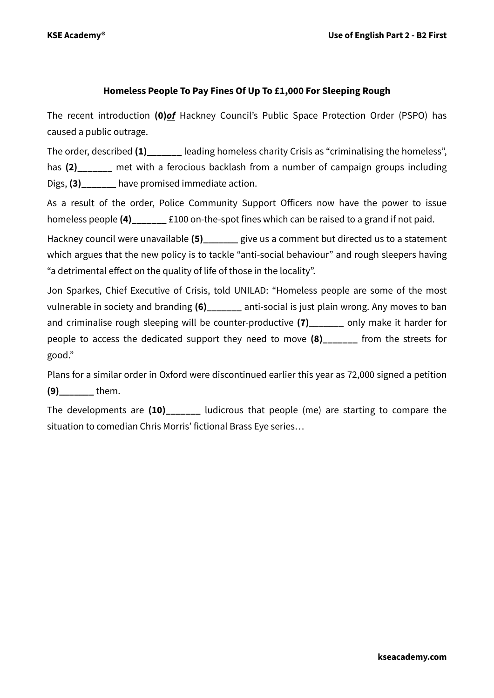## **Homeless People To Pay Fines Of Up To £1,000 For Sleeping Rough**

The recent introduction **(0)***of* Hackney Council's Public Space Protection Order (PSPO) has caused a public outrage.

The order, described (1) leading homeless charity Crisis as "criminalising the homeless", has **(2)\_\_\_\_\_\_\_** met with a ferocious backlash from a number of campaign groups including Digs, **(3)\_\_\_\_\_\_\_** have promised immediate action.

As a result of the order, Police Community Support Officers now have the power to issue homeless people **(4)\_\_\_\_\_\_\_** £100 on-the-spot fines which can be raised to a grand if not paid.

Hackney council were unavailable **(5)\_\_\_\_\_\_\_** give us a comment but directed us to a statement which argues that the new policy is to tackle "anti-social behaviour" and rough sleepers having "a detrimental effect on the quality of life of those in the locality".

Jon Sparkes, Chief Executive of Crisis, told UNILAD: "Homeless people are some of the most vulnerable in society and branding **(6)\_\_\_\_\_\_\_** anti-social is just plain wrong. Any moves to ban and criminalise rough sleeping will be counter-productive **(7)\_\_\_\_\_\_\_** only make it harder for people to access the dedicated support they need to move **(8)\_\_\_\_\_\_\_** from the streets for good."

Plans for [a similar order in Oxford](http://oxfordstudent.com/2015/03/30/oxford-city-council-proposes-a-ban-on-rough-sleeping/) were discontinued earlier this year as 72,000 signed a petition **(9)\_\_\_\_\_\_\_** them.

The developments are **(10)\_\_\_\_\_\_\_** ludicrous that people (me) are starting to compare the situation to comedian Chris Morris' fictional Brass Eye series…